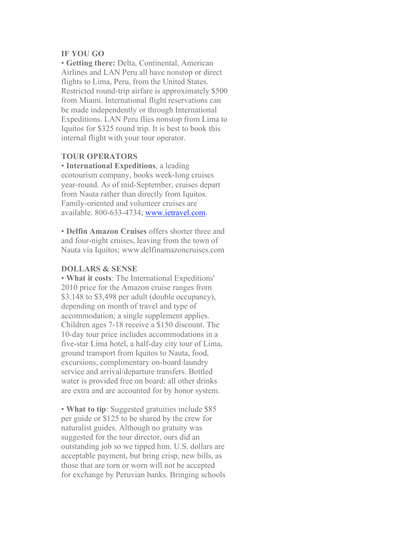## **IF YOU GO**

• **Getting there:** Delta, Continental, American Airlines and LAN Peru all have nonstop or direct flights to Lima, Peru, from the United States. Restricted round-trip airfare is approximately \$500 from Miami. International flight reservations can be made independently or through International Expeditions. LAN Peru flies nonstop from Lima to Iquitos for \$325 round trip. It is best to book this internal flight with your tour operator.

## **TOUR OPERATORS**

• **International Expeditions**, a leading ecotourism company, books week-long cruises year-round. As of mid-September, cruises depart from Nauta rather than directly from Iquitos. Family-oriented and volunteer cruises are available. 800-633-4734; www.ietravel.com.

• **Delfin Amazon Cruises** offers shorter three and and four-night cruises, leaving from the town of Nauta via Iquitos; www.delfinamazoncruises.com

## **DOLLARS & SENSE**

• **What it costs**: The International Expeditions' 2010 price for the Amazon cruise ranges from \$3,148 to \$3,498 per adult (double occupancy), depending on month of travel and type of accommodation; a single supplement applies. Children ages 7-18 receive a \$150 discount. The 10-day tour price includes accommodations in a five-star Lima hotel, a half-day city tour of Lima, ground transport from Iquitos to Nauta, food, excursions, complimentary on-board laundry service and arrival/departure transfers. Bottled water is provided free on board; all other drinks are extra and are accounted for by honor system.

• **What to tip**: Suggested gratuities include \$85 per guide or \$125 to be shared by the crew for naturalist guides. Although no gratuity was suggested for the tour director, ours did an outstanding job so we tipped him. U.S. dollars are acceptable payment, but bring crisp, new bills, as those that are torn or worn will not be accepted for exchange by Peruvian banks. Bringing schools